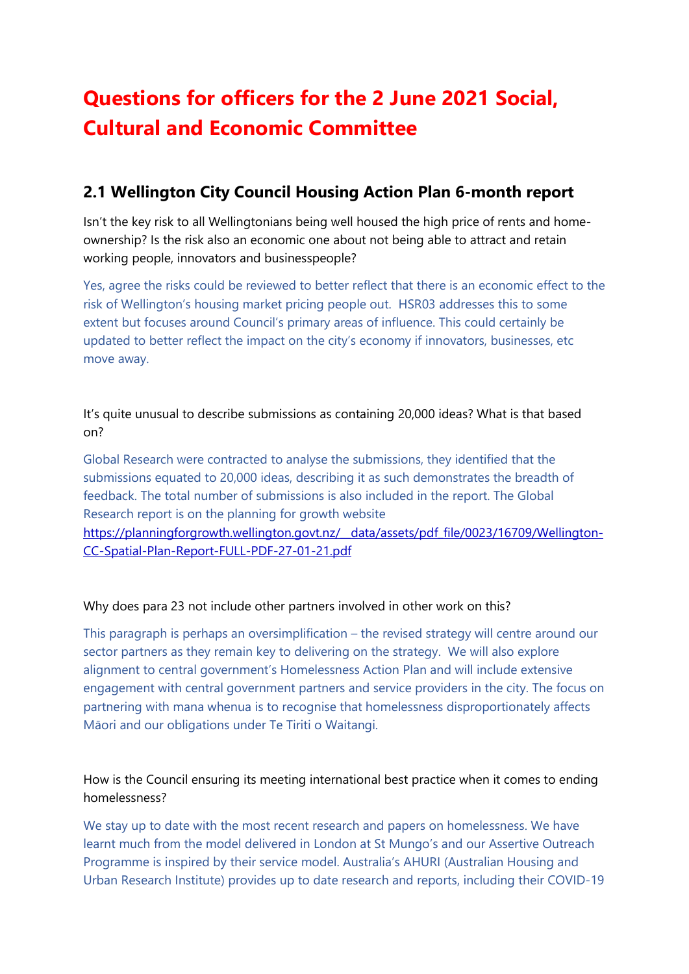# **Questions for officers for the 2 June 2021 Social, Cultural and Economic Committee**

# **2.1 Wellington City Council Housing Action Plan 6-month report**

Isn't the key risk to all Wellingtonians being well housed the high price of rents and homeownership? Is the risk also an economic one about not being able to attract and retain working people, innovators and businesspeople?

Yes, agree the risks could be reviewed to better reflect that there is an economic effect to the risk of Wellington's housing market pricing people out. HSR03 addresses this to some extent but focuses around Council's primary areas of influence. This could certainly be updated to better reflect the impact on the city's economy if innovators, businesses, etc move away.

It's quite unusual to describe submissions as containing 20,000 ideas? What is that based on?

Global Research were contracted to analyse the submissions, they identified that the submissions equated to 20,000 ideas, describing it as such demonstrates the breadth of feedback. The total number of submissions is also included in the report. The Global Research report is on the planning for growth website https://planningforgrowth.wellington.govt.nz/ data/assets/pdf file/0023/16709/Wellington-[CC-Spatial-Plan-Report-FULL-PDF-27-01-21.pdf](https://planningforgrowth.wellington.govt.nz/__data/assets/pdf_file/0023/16709/Wellington-CC-Spatial-Plan-Report-FULL-PDF-27-01-21.pdf)

#### Why does para 23 not include other partners involved in other work on this?

This paragraph is perhaps an oversimplification – the revised strategy will centre around our sector partners as they remain key to delivering on the strategy. We will also explore alignment to central government's Homelessness Action Plan and will include extensive engagement with central government partners and service providers in the city. The focus on partnering with mana whenua is to recognise that homelessness disproportionately affects Māori and our obligations under Te Tiriti o Waitangi.

How is the Council ensuring its meeting international best practice when it comes to ending homelessness?

We stay up to date with the most recent research and papers on homelessness. We have learnt much from the model delivered in London at St Mungo's and our Assertive Outreach Programme is inspired by their service model. Australia's AHURI (Australian Housing and Urban Research Institute) provides up to date research and reports, including their COVID-19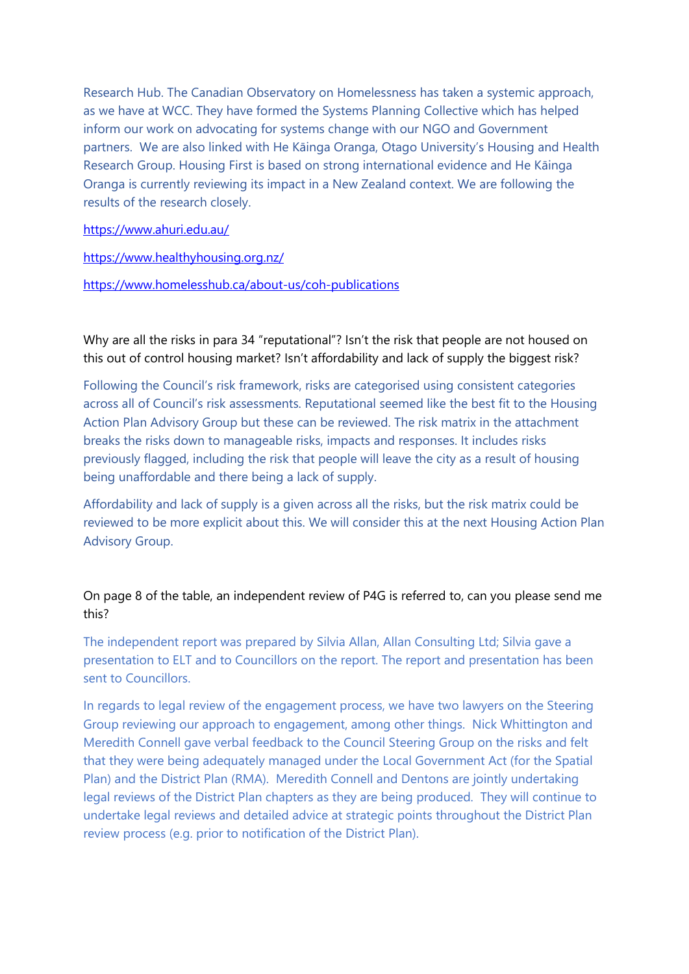Research Hub. The Canadian Observatory on Homelessness has taken a systemic approach, as we have at WCC. They have formed the Systems Planning Collective which has helped inform our work on advocating for systems change with our NGO and Government partners. We are also linked with He Kāinga Oranga, Otago University's Housing and Health Research Group. Housing First is based on strong international evidence and He Kāinga Oranga is currently reviewing its impact in a New Zealand context. We are following the results of the research closely.

[https://www.ahuri.edu.au/](https://aus01.safelinks.protection.outlook.com/?url=https%3A%2F%2Fwww.ahuri.edu.au%2F&data=04%7C01%7CRebecca.Tong%40wcc.govt.nz%7C72c41719cd534d27812208d923e64b9c%7Cf187ad074f704d719a80dfb0191578ae%7C0%7C0%7C637580294275067763%7CUnknown%7CTWFpbGZsb3d8eyJWIjoiMC4wLjAwMDAiLCJQIjoiV2luMzIiLCJBTiI6Ik1haWwiLCJXVCI6Mn0%3D%7C1000&sdata=%2BVZLQ%2FuHUUs7E4GSZB7IqYeCeu5PvncvsqsO3xpV18w%3D&reserved=0)

[https://www.healthyhousing.org.nz/](https://aus01.safelinks.protection.outlook.com/?url=https%3A%2F%2Fwww.healthyhousing.org.nz%2F&data=04%7C01%7CRebecca.Tong%40wcc.govt.nz%7C72c41719cd534d27812208d923e64b9c%7Cf187ad074f704d719a80dfb0191578ae%7C0%7C0%7C637580294275067763%7CUnknown%7CTWFpbGZsb3d8eyJWIjoiMC4wLjAwMDAiLCJQIjoiV2luMzIiLCJBTiI6Ik1haWwiLCJXVCI6Mn0%3D%7C1000&sdata=H199eNIm4tv4IDsIKzbKo%2BirAPlCCjbD7DxIdQ3O0qI%3D&reserved=0)

[https://www.homelesshub.ca/about-us/coh-publications](https://aus01.safelinks.protection.outlook.com/?url=https%3A%2F%2Fwww.homelesshub.ca%2Fabout-us%2Fcoh-publications&data=04%7C01%7CRebecca.Tong%40wcc.govt.nz%7C72c41719cd534d27812208d923e64b9c%7Cf187ad074f704d719a80dfb0191578ae%7C0%7C0%7C637580294275077714%7CUnknown%7CTWFpbGZsb3d8eyJWIjoiMC4wLjAwMDAiLCJQIjoiV2luMzIiLCJBTiI6Ik1haWwiLCJXVCI6Mn0%3D%7C1000&sdata=C9H5JCYpLpRcPZsUXKbjAGnxwtARqRKorFBWpxgvvG8%3D&reserved=0)

Why are all the risks in para 34 "reputational"? Isn't the risk that people are not housed on this out of control housing market? Isn't affordability and lack of supply the biggest risk?

Following the Council's risk framework, risks are categorised using consistent categories across all of Council's risk assessments. Reputational seemed like the best fit to the Housing Action Plan Advisory Group but these can be reviewed. The risk matrix in the attachment breaks the risks down to manageable risks, impacts and responses. It includes risks previously flagged, including the risk that people will leave the city as a result of housing being unaffordable and there being a lack of supply.

Affordability and lack of supply is a given across all the risks, but the risk matrix could be reviewed to be more explicit about this. We will consider this at the next Housing Action Plan Advisory Group.

On page 8 of the table, an independent review of P4G is referred to, can you please send me this?

The independent report was prepared by Silvia Allan, Allan Consulting Ltd; Silvia gave a presentation to ELT and to Councillors on the report. The report and presentation has been sent to Councillors.

In regards to legal review of the engagement process, we have two lawyers on the Steering Group reviewing our approach to engagement, among other things. Nick Whittington and Meredith Connell gave verbal feedback to the Council Steering Group on the risks and felt that they were being adequately managed under the Local Government Act (for the Spatial Plan) and the District Plan (RMA). Meredith Connell and Dentons are jointly undertaking legal reviews of the District Plan chapters as they are being produced. They will continue to undertake legal reviews and detailed advice at strategic points throughout the District Plan review process (e.g. prior to notification of the District Plan).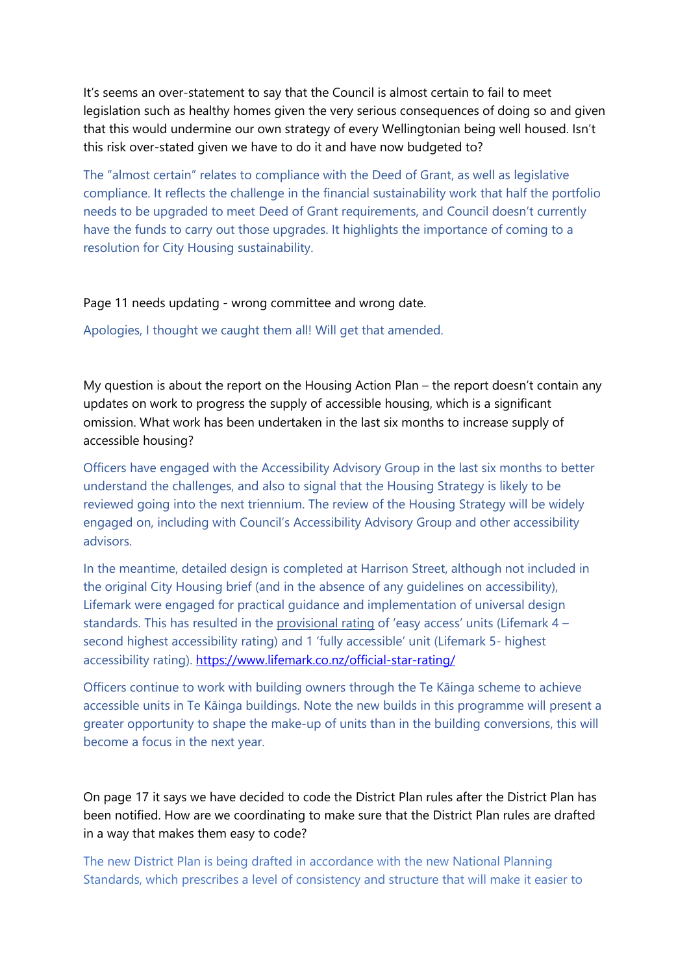It's seems an over-statement to say that the Council is almost certain to fail to meet legislation such as healthy homes given the very serious consequences of doing so and given that this would undermine our own strategy of every Wellingtonian being well housed. Isn't this risk over-stated given we have to do it and have now budgeted to?

The "almost certain" relates to compliance with the Deed of Grant, as well as legislative compliance. It reflects the challenge in the financial sustainability work that half the portfolio needs to be upgraded to meet Deed of Grant requirements, and Council doesn't currently have the funds to carry out those upgrades. It highlights the importance of coming to a resolution for City Housing sustainability.

Page 11 needs updating - wrong committee and wrong date.

Apologies, I thought we caught them all! Will get that amended.

My question is about the report on the Housing Action Plan – the report doesn't contain any updates on work to progress the supply of accessible housing, which is a significant omission. What work has been undertaken in the last six months to increase supply of accessible housing?

Officers have engaged with the Accessibility Advisory Group in the last six months to better understand the challenges, and also to signal that the Housing Strategy is likely to be reviewed going into the next triennium. The review of the Housing Strategy will be widely engaged on, including with Council's Accessibility Advisory Group and other accessibility advisors.

In the meantime, detailed design is completed at Harrison Street, although not included in the original City Housing brief (and in the absence of any guidelines on accessibility), Lifemark were engaged for practical guidance and implementation of universal design standards. This has resulted in the provisional rating of 'easy access' units (Lifemark 4 – second highest accessibility rating) and 1 'fully accessible' unit (Lifemark 5- highest accessibility rating). [https://www.lifemark.co.nz/official-star-rating/](https://aus01.safelinks.protection.outlook.com/?url=https%3A%2F%2Fwww.lifemark.co.nz%2Fofficial-star-rating%2F&data=04%7C01%7CRebecca.Tong%40wcc.govt.nz%7Cc0a0db5723c442ee1f6b08d923eca54c%7Cf187ad074f704d719a80dfb0191578ae%7C0%7C0%7C637580321558399521%7CUnknown%7CTWFpbGZsb3d8eyJWIjoiMC4wLjAwMDAiLCJQIjoiV2luMzIiLCJBTiI6Ik1haWwiLCJXVCI6Mn0%3D%7C1000&sdata=AlNGO7XSThUHYaOI6aIJB6ZdvzVfQmX4CV0XcESHrhM%3D&reserved=0)

Officers continue to work with building owners through the Te Kāinga scheme to achieve accessible units in Te Kāinga buildings. Note the new builds in this programme will present a greater opportunity to shape the make-up of units than in the building conversions, this will become a focus in the next year.

On page 17 it says we have decided to code the District Plan rules after the District Plan has been notified. How are we coordinating to make sure that the District Plan rules are drafted in a way that makes them easy to code?

The new District Plan is being drafted in accordance with the new National Planning Standards, which prescribes a level of consistency and structure that will make it easier to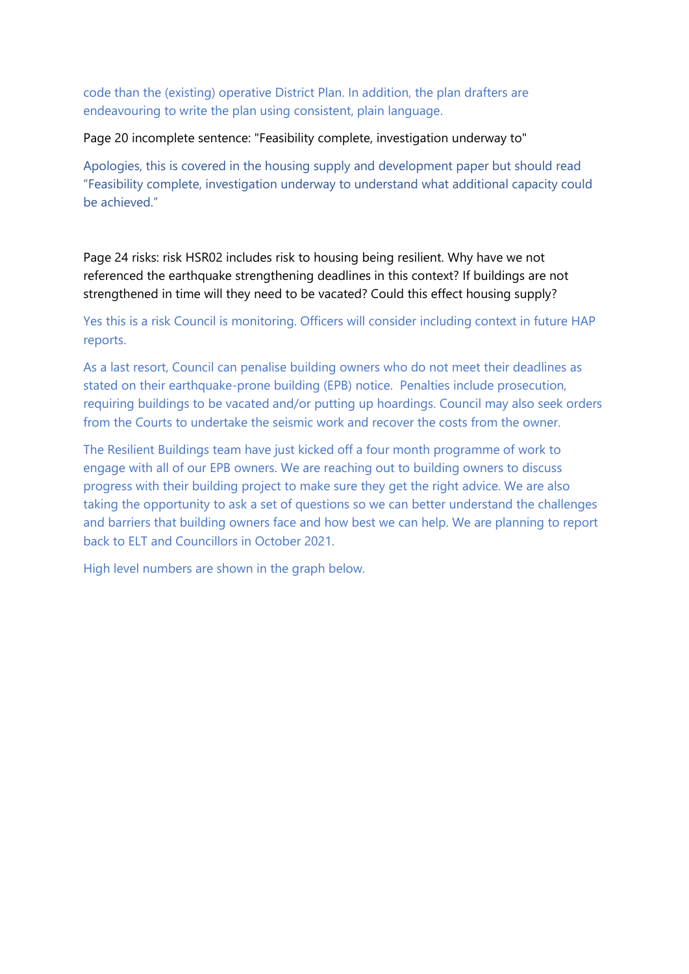code than the (existing) operative District Plan. In addition, the plan drafters are endeavouring to write the plan using consistent, plain language.

Page 20 incomplete sentence: "Feasibility complete, investigation underway to"

Apologies, this is covered in the housing supply and development paper but should read "Feasibility complete, investigation underway to understand what additional capacity could be achieved."

Page 24 risks: risk HSR02 includes risk to housing being resilient. Why have we not referenced the earthquake strengthening deadlines in this context? If buildings are not strengthened in time will they need to be vacated? Could this effect housing supply?

Yes this is a risk Council is monitoring. Officers will consider including context in future HAP reports.

As a last resort, Council can penalise building owners who do not meet their deadlines as stated on their earthquake-prone building (EPB) notice. Penalties include prosecution, requiring buildings to be vacated and/or putting up hoardings. Council may also seek orders from the Courts to undertake the seismic work and recover the costs from the owner.

The Resilient Buildings team have just kicked off a four month programme of work to engage with all of our EPB owners. We are reaching out to building owners to discuss progress with their building project to make sure they get the right advice. We are also taking the opportunity to ask a set of questions so we can better understand the challenges and barriers that building owners face and how best we can help. We are planning to report back to ELT and Councillors in October 2021.

High level numbers are shown in the graph below.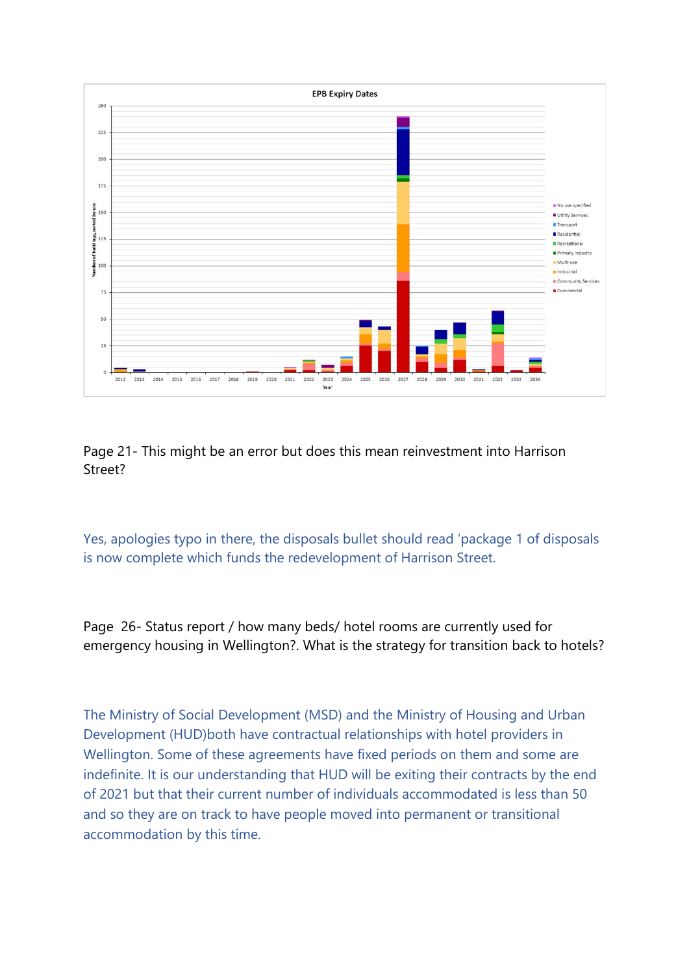

Page 21- This might be an error but does this mean reinvestment into Harrison Street?

Yes, apologies typo in there, the disposals bullet should read 'package 1 of disposals is now complete which funds the redevelopment of Harrison Street.

Page 26- Status report / how many beds/ hotel rooms are currently used for emergency housing in Wellington?. What is the strategy for transition back to hotels?

The Ministry of Social Development (MSD) and the Ministry of Housing and Urban Development (HUD)both have contractual relationships with hotel providers in Wellington. Some of these agreements have fixed periods on them and some are indefinite. It is our understanding that HUD will be exiting their contracts by the end of 2021 but that their current number of individuals accommodated is less than 50 and so they are on track to have people moved into permanent or transitional accommodation by this time.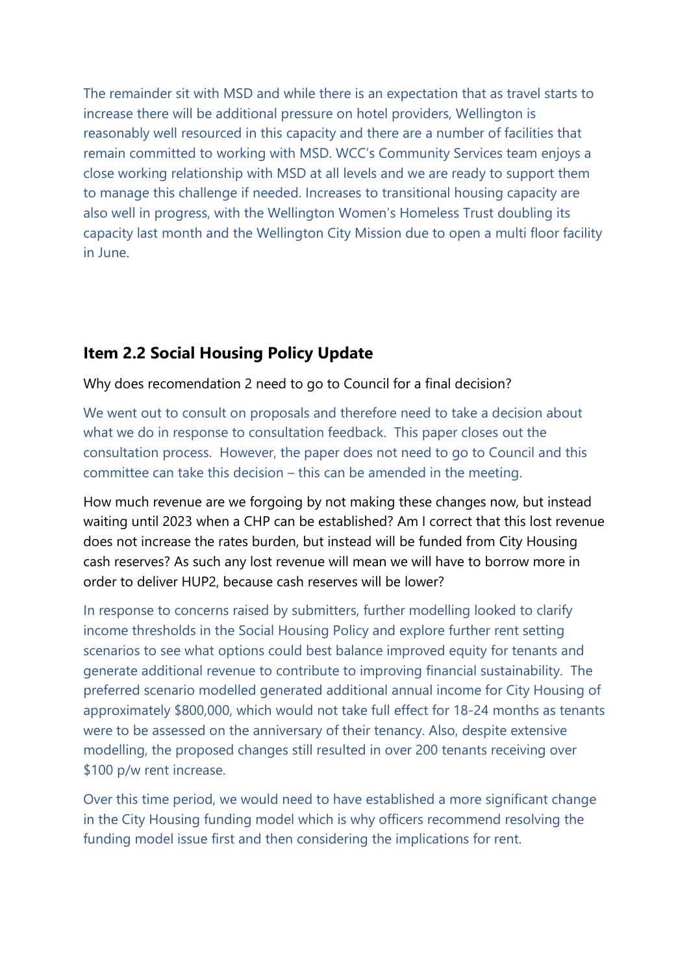The remainder sit with MSD and while there is an expectation that as travel starts to increase there will be additional pressure on hotel providers, Wellington is reasonably well resourced in this capacity and there are a number of facilities that remain committed to working with MSD. WCC's Community Services team enjoys a close working relationship with MSD at all levels and we are ready to support them to manage this challenge if needed. Increases to transitional housing capacity are also well in progress, with the Wellington Women's Homeless Trust doubling its capacity last month and the Wellington City Mission due to open a multi floor facility in June.

# **Item 2.2 Social Housing Policy Update**

Why does recomendation 2 need to go to Council for a final decision?

We went out to consult on proposals and therefore need to take a decision about what we do in response to consultation feedback. This paper closes out the consultation process. However, the paper does not need to go to Council and this committee can take this decision – this can be amended in the meeting.

How much revenue are we forgoing by not making these changes now, but instead waiting until 2023 when a CHP can be established? Am I correct that this lost revenue does not increase the rates burden, but instead will be funded from City Housing cash reserves? As such any lost revenue will mean we will have to borrow more in order to deliver HUP2, because cash reserves will be lower?

In response to concerns raised by submitters, further modelling looked to clarify income thresholds in the Social Housing Policy and explore further rent setting scenarios to see what options could best balance improved equity for tenants and generate additional revenue to contribute to improving financial sustainability. The preferred scenario modelled generated additional annual income for City Housing of approximately \$800,000, which would not take full effect for 18-24 months as tenants were to be assessed on the anniversary of their tenancy. Also, despite extensive modelling, the proposed changes still resulted in over 200 tenants receiving over \$100 p/w rent increase.

Over this time period, we would need to have established a more significant change in the City Housing funding model which is why officers recommend resolving the funding model issue first and then considering the implications for rent.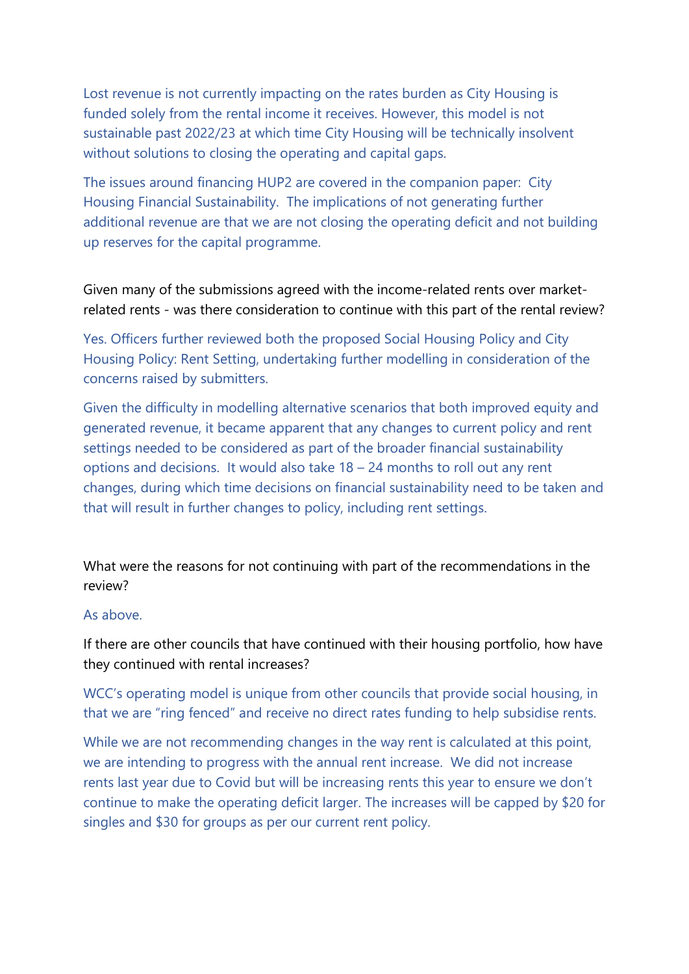Lost revenue is not currently impacting on the rates burden as City Housing is funded solely from the rental income it receives. However, this model is not sustainable past 2022/23 at which time City Housing will be technically insolvent without solutions to closing the operating and capital gaps.

The issues around financing HUP2 are covered in the companion paper: City Housing Financial Sustainability. The implications of not generating further additional revenue are that we are not closing the operating deficit and not building up reserves for the capital programme.

Given many of the submissions agreed with the income-related rents over marketrelated rents - was there consideration to continue with this part of the rental review?

Yes. Officers further reviewed both the proposed Social Housing Policy and City Housing Policy: Rent Setting, undertaking further modelling in consideration of the concerns raised by submitters.

Given the difficulty in modelling alternative scenarios that both improved equity and generated revenue, it became apparent that any changes to current policy and rent settings needed to be considered as part of the broader financial sustainability options and decisions. It would also take 18 – 24 months to roll out any rent changes, during which time decisions on financial sustainability need to be taken and that will result in further changes to policy, including rent settings.

What were the reasons for not continuing with part of the recommendations in the review?

#### As above.

If there are other councils that have continued with their housing portfolio, how have they continued with rental increases?

WCC's operating model is unique from other councils that provide social housing, in that we are "ring fenced" and receive no direct rates funding to help subsidise rents.

While we are not recommending changes in the way rent is calculated at this point, we are intending to progress with the annual rent increase. We did not increase rents last year due to Covid but will be increasing rents this year to ensure we don't continue to make the operating deficit larger. The increases will be capped by \$20 for singles and \$30 for groups as per our current rent policy.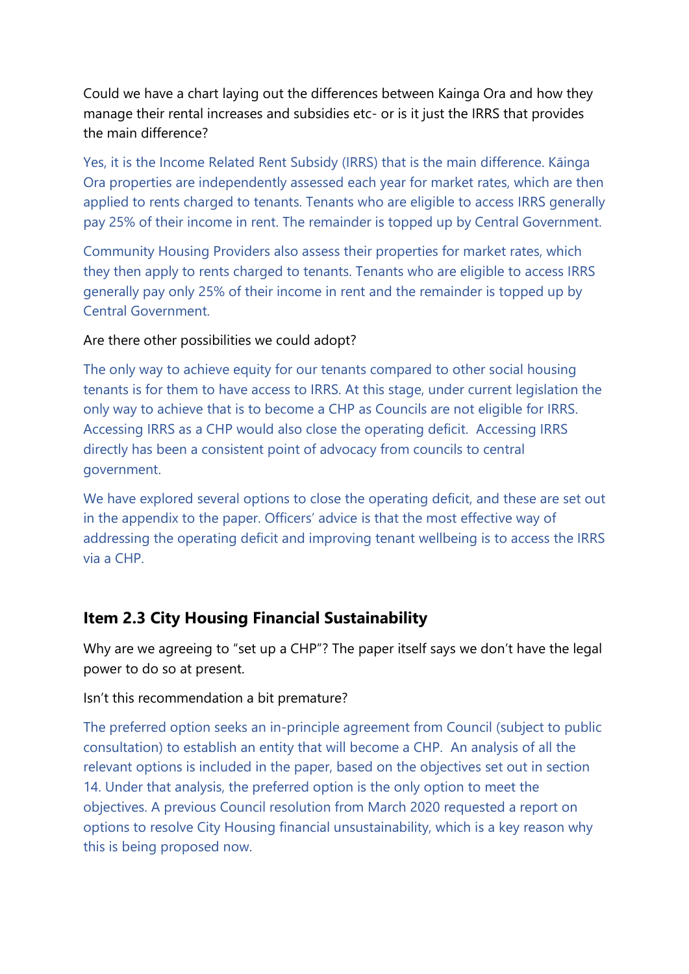Could we have a chart laying out the differences between Kainga Ora and how they manage their rental increases and subsidies etc- or is it just the IRRS that provides the main difference?

Yes, it is the Income Related Rent Subsidy (IRRS) that is the main difference. Kāinga Ora properties are independently assessed each year for market rates, which are then applied to rents charged to tenants. Tenants who are eligible to access IRRS generally pay 25% of their income in rent. The remainder is topped up by Central Government.

Community Housing Providers also assess their properties for market rates, which they then apply to rents charged to tenants. Tenants who are eligible to access IRRS generally pay only 25% of their income in rent and the remainder is topped up by Central Government.

#### Are there other possibilities we could adopt?

The only way to achieve equity for our tenants compared to other social housing tenants is for them to have access to IRRS. At this stage, under current legislation the only way to achieve that is to become a CHP as Councils are not eligible for IRRS. Accessing IRRS as a CHP would also close the operating deficit. Accessing IRRS directly has been a consistent point of advocacy from councils to central government.

We have explored several options to close the operating deficit, and these are set out in the appendix to the paper. Officers' advice is that the most effective way of addressing the operating deficit and improving tenant wellbeing is to access the IRRS via a CHP.

# **Item 2.3 City Housing Financial Sustainability**

Why are we agreeing to "set up a CHP"? The paper itself says we don't have the legal power to do so at present.

### Isn't this recommendation a bit premature?

The preferred option seeks an in-principle agreement from Council (subject to public consultation) to establish an entity that will become a CHP. An analysis of all the relevant options is included in the paper, based on the objectives set out in section 14. Under that analysis, the preferred option is the only option to meet the objectives. A previous Council resolution from March 2020 requested a report on options to resolve City Housing financial unsustainability, which is a key reason why this is being proposed now.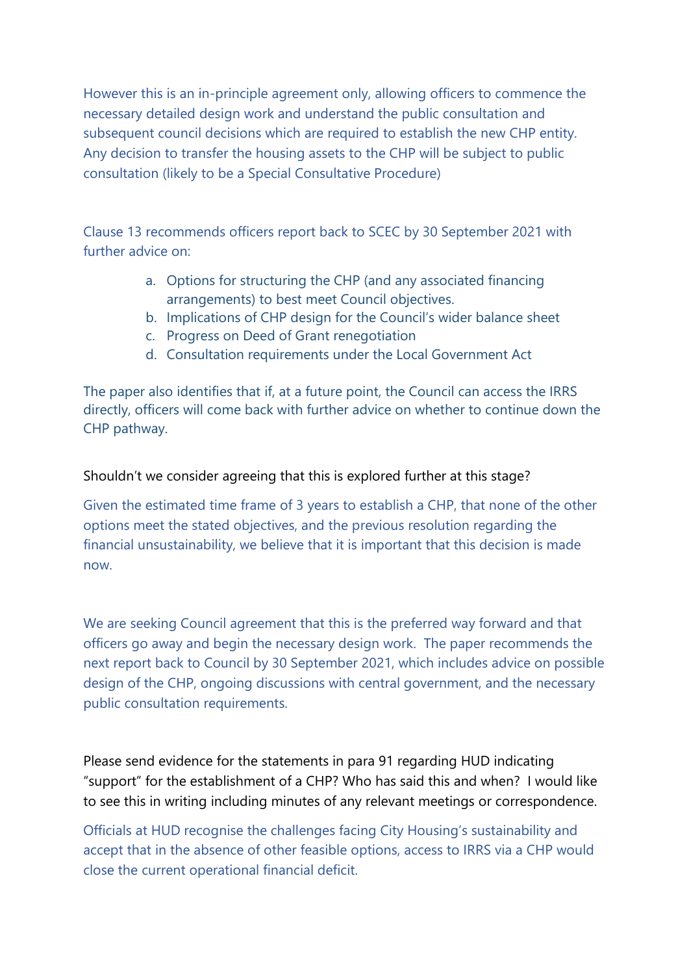However this is an in-principle agreement only, allowing officers to commence the necessary detailed design work and understand the public consultation and subsequent council decisions which are required to establish the new CHP entity. Any decision to transfer the housing assets to the CHP will be subject to public consultation (likely to be a Special Consultative Procedure)

Clause 13 recommends officers report back to SCEC by 30 September 2021 with further advice on:

- a. Options for structuring the CHP (and any associated financing arrangements) to best meet Council objectives.
- b. Implications of CHP design for the Council's wider balance sheet
- c. Progress on Deed of Grant renegotiation
- d. Consultation requirements under the Local Government Act

The paper also identifies that if, at a future point, the Council can access the IRRS directly, officers will come back with further advice on whether to continue down the CHP pathway.

#### Shouldn't we consider agreeing that this is explored further at this stage?

Given the estimated time frame of 3 years to establish a CHP, that none of the other options meet the stated objectives, and the previous resolution regarding the financial unsustainability, we believe that it is important that this decision is made now.

We are seeking Council agreement that this is the preferred way forward and that officers go away and begin the necessary design work. The paper recommends the next report back to Council by 30 September 2021, which includes advice on possible design of the CHP, ongoing discussions with central government, and the necessary public consultation requirements.

Please send evidence for the statements in para 91 regarding HUD indicating "support" for the establishment of a CHP? Who has said this and when? I would like to see this in writing including minutes of any relevant meetings or correspondence.

Officials at HUD recognise the challenges facing City Housing's sustainability and accept that in the absence of other feasible options, access to IRRS via a CHP would close the current operational financial deficit.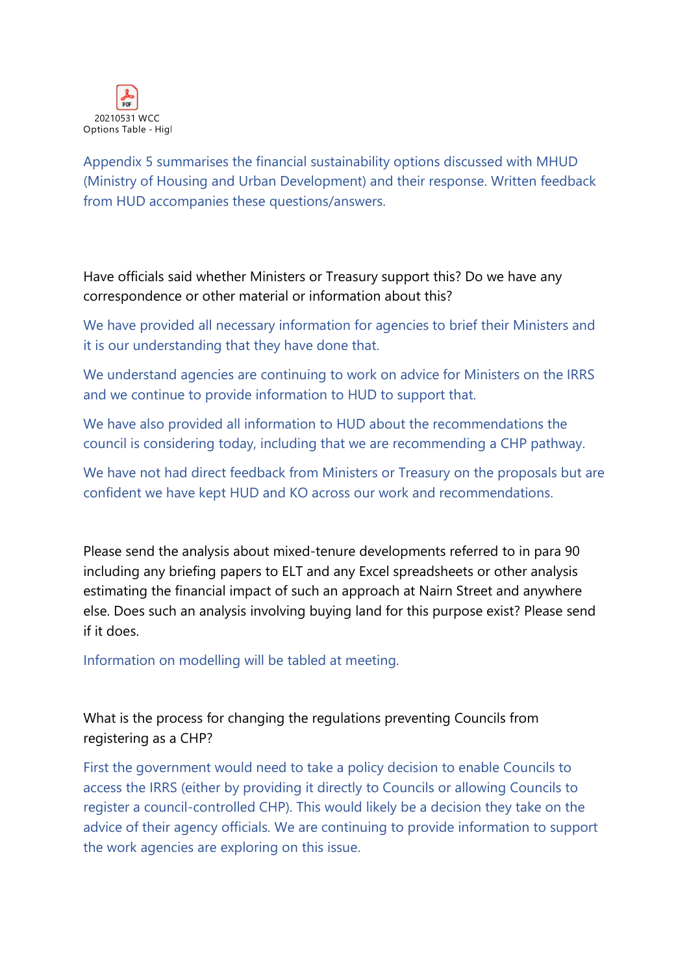

Appendix 5 summarises the financial sustainability options discussed with MHUD (Ministry of Housing and Urban Development) and their response. Written feedback from HUD accompanies these questions/answers.

Have officials said whether Ministers or Treasury support this? Do we have any correspondence or other material or information about this?

We have provided all necessary information for agencies to brief their Ministers and it is our understanding that they have done that.

We understand agencies are continuing to work on advice for Ministers on the IRRS and we continue to provide information to HUD to support that.

We have also provided all information to HUD about the recommendations the council is considering today, including that we are recommending a CHP pathway.

We have not had direct feedback from Ministers or Treasury on the proposals but are confident we have kept HUD and KO across our work and recommendations.

Please send the analysis about mixed-tenure developments referred to in para 90 including any briefing papers to ELT and any Excel spreadsheets or other analysis estimating the financial impact of such an approach at Nairn Street and anywhere else. Does such an analysis involving buying land for this purpose exist? Please send if it does.

Information on modelling will be tabled at meeting.

What is the process for changing the regulations preventing Councils from registering as a CHP?

First the government would need to take a policy decision to enable Councils to access the IRRS (either by providing it directly to Councils or allowing Councils to register a council-controlled CHP). This would likely be a decision they take on the advice of their agency officials. We are continuing to provide information to support the work agencies are exploring on this issue.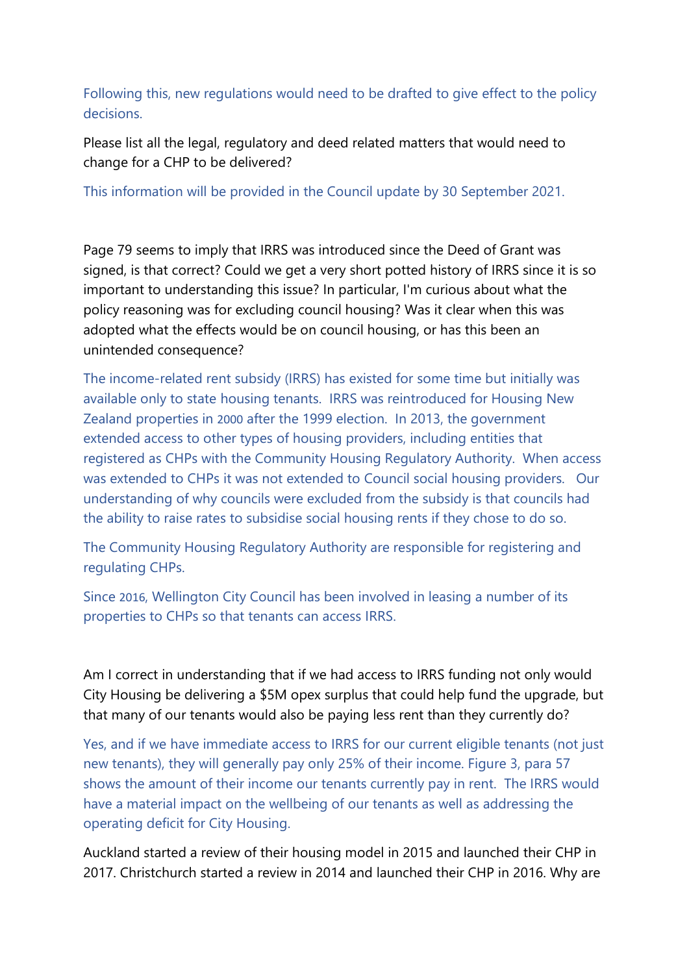Following this, new regulations would need to be drafted to give effect to the policy decisions.

Please list all the legal, regulatory and deed related matters that would need to change for a CHP to be delivered?

This information will be provided in the Council update by 30 September 2021.

Page 79 seems to imply that IRRS was introduced since the Deed of Grant was signed, is that correct? Could we get a very short potted history of IRRS since it is so important to understanding this issue? In particular, I'm curious about what the policy reasoning was for excluding council housing? Was it clear when this was adopted what the effects would be on council housing, or has this been an unintended consequence?

The income-related rent subsidy (IRRS) has existed for some time but initially was available only to state housing tenants. IRRS was reintroduced for Housing New Zealand properties in [2000](https://www.beehive.govt.nz/release/income-related-rents-what-it-means) after the 1999 election. In 2013, the government extended access to other types of housing providers, including entities that registered as CHPs with the Community Housing Regulatory Authority. When access was extended to CHPs it was not extended to Council social housing providers. Our understanding of why councils were excluded from the subsidy is that councils had the ability to raise rates to subsidise social housing rents if they chose to do so.

The Community Housing Regulatory Authority are responsible for registering and regulating CHPs.

Since [2016](https://www.rnz.co.nz/news/national/317629/some-vulnerable-wgtn-residents-to-get-cheaper-rents), Wellington City Council has been involved in leasing a number of its properties to CHPs so that tenants can access IRRS.

Am I correct in understanding that if we had access to IRRS funding not only would City Housing be delivering a \$5M opex surplus that could help fund the upgrade, but that many of our tenants would also be paying less rent than they currently do?

Yes, and if we have immediate access to IRRS for our current eligible tenants (not just new tenants), they will generally pay only 25% of their income. Figure 3, para 57 shows the amount of their income our tenants currently pay in rent. The IRRS would have a material impact on the wellbeing of our tenants as well as addressing the operating deficit for City Housing.

Auckland started a review of their housing model in 2015 and launched their CHP in 2017. Christchurch started a review in 2014 and launched their CHP in 2016. Why are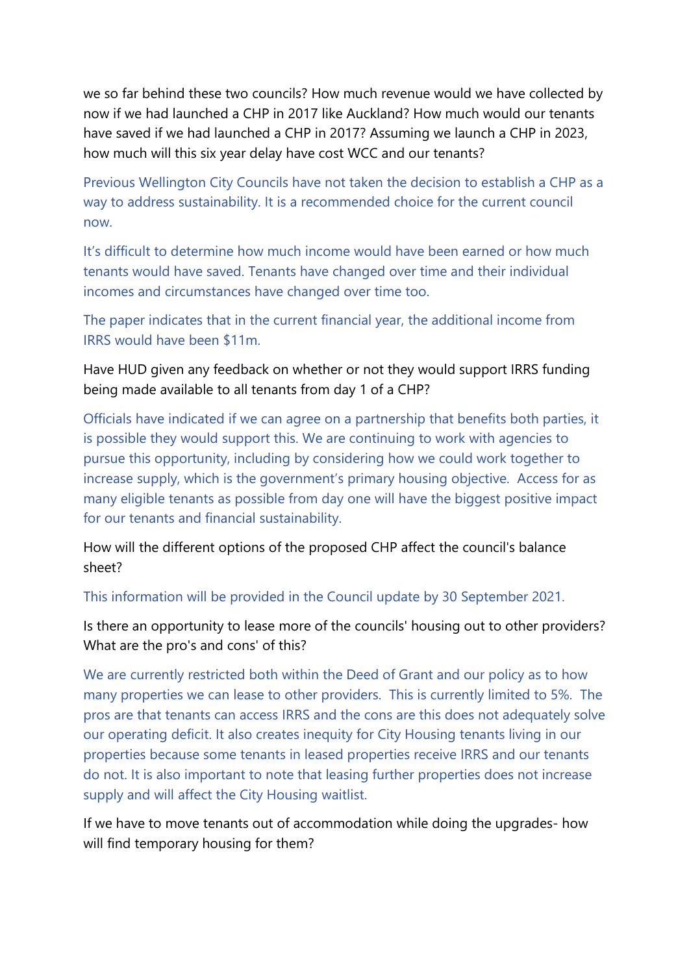we so far behind these two councils? How much revenue would we have collected by now if we had launched a CHP in 2017 like Auckland? How much would our tenants have saved if we had launched a CHP in 2017? Assuming we launch a CHP in 2023, how much will this six year delay have cost WCC and our tenants?

Previous Wellington City Councils have not taken the decision to establish a CHP as a way to address sustainability. It is a recommended choice for the current council now.

It's difficult to determine how much income would have been earned or how much tenants would have saved. Tenants have changed over time and their individual incomes and circumstances have changed over time too.

The paper indicates that in the current financial year, the additional income from IRRS would have been \$11m.

Have HUD given any feedback on whether or not they would support IRRS funding being made available to all tenants from day 1 of a CHP?

Officials have indicated if we can agree on a partnership that benefits both parties, it is possible they would support this. We are continuing to work with agencies to pursue this opportunity, including by considering how we could work together to increase supply, which is the government's primary housing objective. Access for as many eligible tenants as possible from day one will have the biggest positive impact for our tenants and financial sustainability.

How will the different options of the proposed CHP affect the council's balance sheet?

This information will be provided in the Council update by 30 September 2021.

Is there an opportunity to lease more of the councils' housing out to other providers? What are the pro's and cons' of this?

We are currently restricted both within the Deed of Grant and our policy as to how many properties we can lease to other providers. This is currently limited to 5%. The pros are that tenants can access IRRS and the cons are this does not adequately solve our operating deficit. It also creates inequity for City Housing tenants living in our properties because some tenants in leased properties receive IRRS and our tenants do not. It is also important to note that leasing further properties does not increase supply and will affect the City Housing waitlist.

If we have to move tenants out of accommodation while doing the upgrades- how will find temporary housing for them?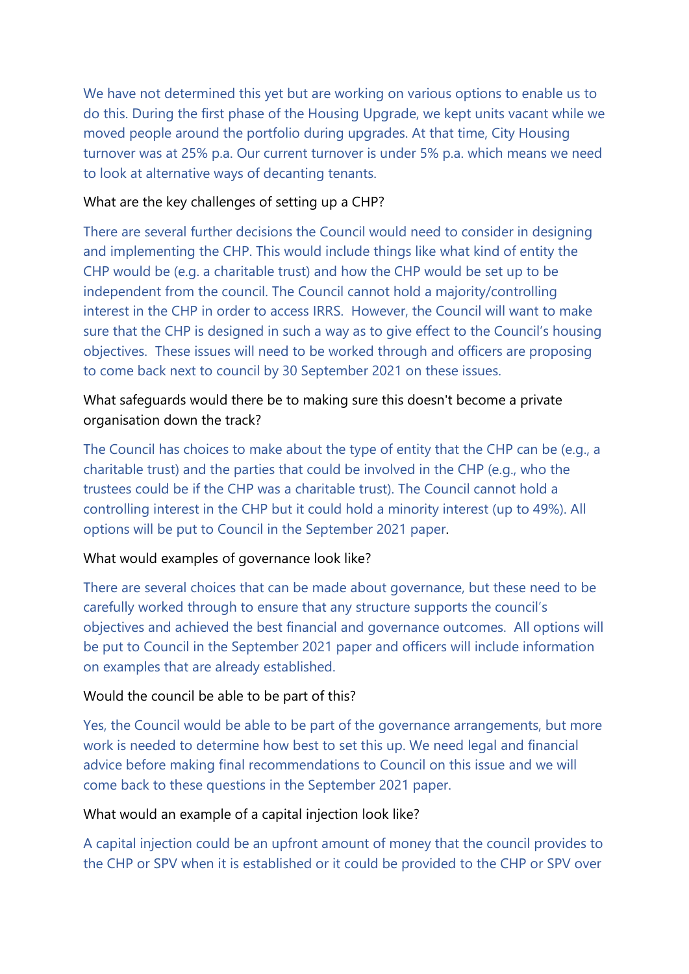We have not determined this yet but are working on various options to enable us to do this. During the first phase of the Housing Upgrade, we kept units vacant while we moved people around the portfolio during upgrades. At that time, City Housing turnover was at 25% p.a. Our current turnover is under 5% p.a. which means we need to look at alternative ways of decanting tenants.

#### What are the key challenges of setting up a CHP?

There are several further decisions the Council would need to consider in designing and implementing the CHP. This would include things like what kind of entity the CHP would be (e.g. a charitable trust) and how the CHP would be set up to be independent from the council. The Council cannot hold a majority/controlling interest in the CHP in order to access IRRS. However, the Council will want to make sure that the CHP is designed in such a way as to give effect to the Council's housing objectives. These issues will need to be worked through and officers are proposing to come back next to council by 30 September 2021 on these issues.

## What safeguards would there be to making sure this doesn't become a private organisation down the track?

The Council has choices to make about the type of entity that the CHP can be (e.g., a charitable trust) and the parties that could be involved in the CHP (e.g., who the trustees could be if the CHP was a charitable trust). The Council cannot hold a controlling interest in the CHP but it could hold a minority interest (up to 49%). All options will be put to Council in the September 2021 paper.

#### What would examples of governance look like?

There are several choices that can be made about governance, but these need to be carefully worked through to ensure that any structure supports the council's objectives and achieved the best financial and governance outcomes. All options will be put to Council in the September 2021 paper and officers will include information on examples that are already established.

#### Would the council be able to be part of this?

Yes, the Council would be able to be part of the governance arrangements, but more work is needed to determine how best to set this up. We need legal and financial advice before making final recommendations to Council on this issue and we will come back to these questions in the September 2021 paper.

#### What would an example of a capital injection look like?

A capital injection could be an upfront amount of money that the council provides to the CHP or SPV when it is established or it could be provided to the CHP or SPV over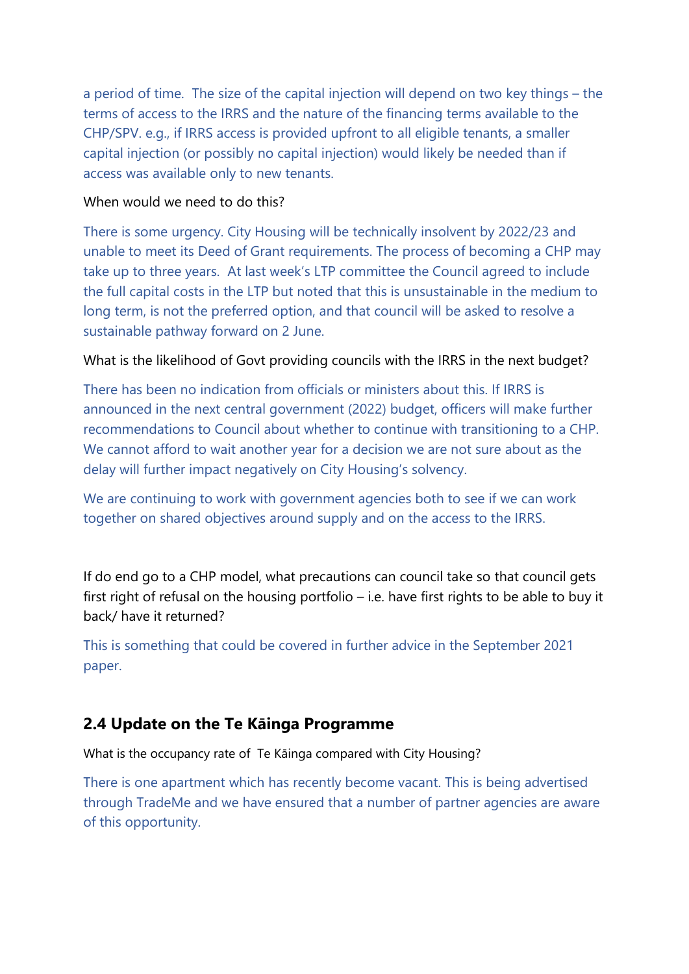a period of time. The size of the capital injection will depend on two key things – the terms of access to the IRRS and the nature of the financing terms available to the CHP/SPV. e.g., if IRRS access is provided upfront to all eligible tenants, a smaller capital injection (or possibly no capital injection) would likely be needed than if access was available only to new tenants.

#### When would we need to do this?

There is some urgency. City Housing will be technically insolvent by 2022/23 and unable to meet its Deed of Grant requirements. The process of becoming a CHP may take up to three years. At last week's LTP committee the Council agreed to include the full capital costs in the LTP but noted that this is unsustainable in the medium to long term, is not the preferred option, and that council will be asked to resolve a sustainable pathway forward on 2 June.

#### What is the likelihood of Govt providing councils with the IRRS in the next budget?

There has been no indication from officials or ministers about this. If IRRS is announced in the next central government (2022) budget, officers will make further recommendations to Council about whether to continue with transitioning to a CHP. We cannot afford to wait another year for a decision we are not sure about as the delay will further impact negatively on City Housing's solvency.

We are continuing to work with government agencies both to see if we can work together on shared objectives around supply and on the access to the IRRS.

If do end go to a CHP model, what precautions can council take so that council gets first right of refusal on the housing portfolio – i.e. have first rights to be able to buy it back/ have it returned?

This is something that could be covered in further advice in the September 2021 paper.

# **2.4 Update on the Te Kāinga Programme**

What is the occupancy rate of Te Kāinga compared with City Housing?

There is one apartment which has recently become vacant. This is being advertised through TradeMe and we have ensured that a number of partner agencies are aware of this opportunity.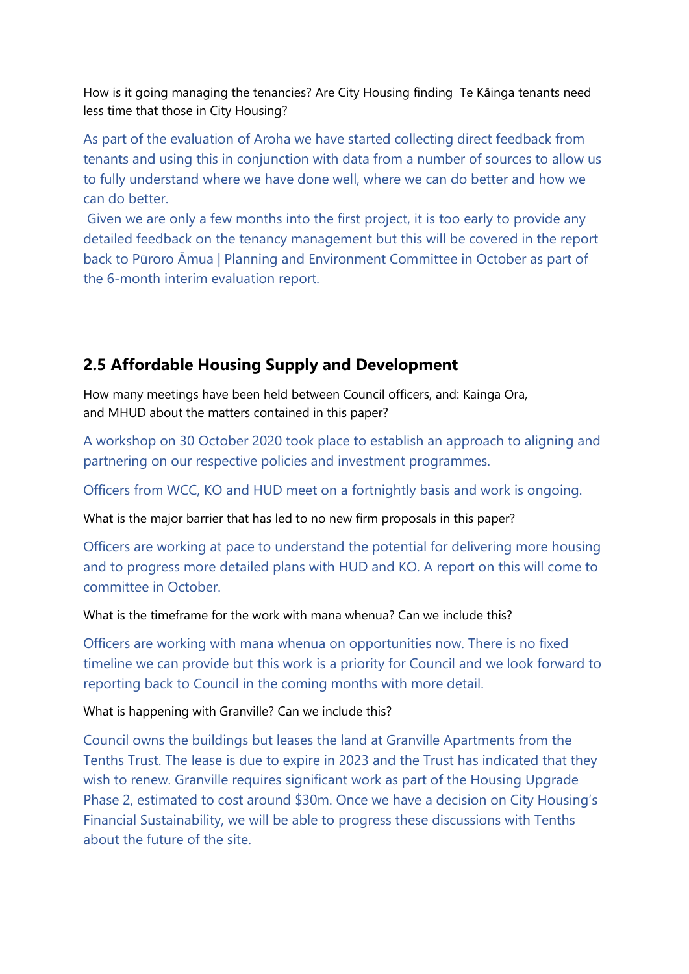How is it going managing the tenancies? Are City Housing finding Te Kāinga tenants need less time that those in City Housing?

As part of the evaluation of Aroha we have started collecting direct feedback from tenants and using this in conjunction with data from a number of sources to allow us to fully understand where we have done well, where we can do better and how we can do better.

Given we are only a few months into the first project, it is too early to provide any detailed feedback on the tenancy management but this will be covered in the report back to Pūroro Āmua | Planning and Environment Committee in October as part of the 6-month interim evaluation report.

# **2.5 Affordable Housing Supply and Development**

How many meetings have been held between Council officers, and: Kainga Ora, and MHUD about the matters contained in this paper?

A workshop on 30 October 2020 took place to establish an approach to aligning and partnering on our respective policies and investment programmes.

Officers from WCC, KO and HUD meet on a fortnightly basis and work is ongoing.

What is the major barrier that has led to no new firm proposals in this paper?

Officers are working at pace to understand the potential for delivering more housing and to progress more detailed plans with HUD and KO. A report on this will come to committee in October.

What is the timeframe for the work with mana whenua? Can we include this?

Officers are working with mana whenua on opportunities now. There is no fixed timeline we can provide but this work is a priority for Council and we look forward to reporting back to Council in the coming months with more detail.

What is happening with Granville? Can we include this?

Council owns the buildings but leases the land at Granville Apartments from the Tenths Trust. The lease is due to expire in 2023 and the Trust has indicated that they wish to renew. Granville requires significant work as part of the Housing Upgrade Phase 2, estimated to cost around \$30m. Once we have a decision on City Housing's Financial Sustainability, we will be able to progress these discussions with Tenths about the future of the site.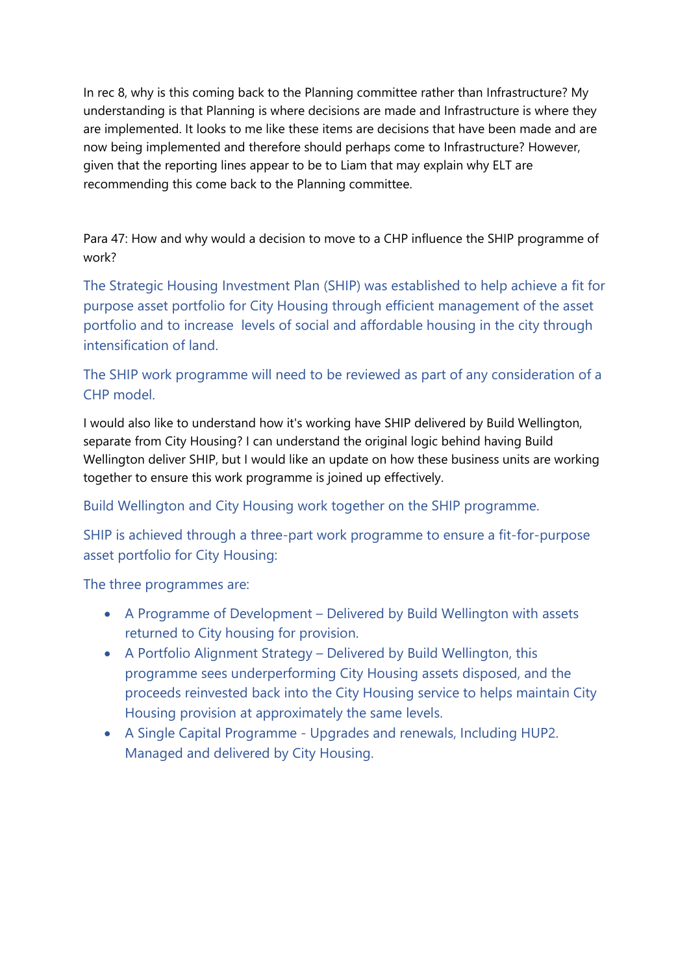In rec 8, why is this coming back to the Planning committee rather than Infrastructure? My understanding is that Planning is where decisions are made and Infrastructure is where they are implemented. It looks to me like these items are decisions that have been made and are now being implemented and therefore should perhaps come to Infrastructure? However, given that the reporting lines appear to be to Liam that may explain why ELT are recommending this come back to the Planning committee.

Para 47: How and why would a decision to move to a CHP influence the SHIP programme of work?

The Strategic Housing Investment Plan (SHIP) was established to help achieve a fit for purpose asset portfolio for City Housing through efficient management of the asset portfolio and to increase levels of social and affordable housing in the city through intensification of land.

## The SHIP work programme will need to be reviewed as part of any consideration of a CHP model.

I would also like to understand how it's working have SHIP delivered by Build Wellington, separate from City Housing? I can understand the original logic behind having Build Wellington deliver SHIP, but I would like an update on how these business units are working together to ensure this work programme is joined up effectively.

Build Wellington and City Housing work together on the SHIP programme.

SHIP is achieved through a three-part work programme to ensure a fit-for-purpose asset portfolio for City Housing:

The three programmes are:

- A Programme of Development Delivered by Build Wellington with assets returned to City housing for provision.
- A Portfolio Alignment Strategy Delivered by Build Wellington, this programme sees underperforming City Housing assets disposed, and the proceeds reinvested back into the City Housing service to helps maintain City Housing provision at approximately the same levels.
- A Single Capital Programme Upgrades and renewals, Including HUP2. Managed and delivered by City Housing.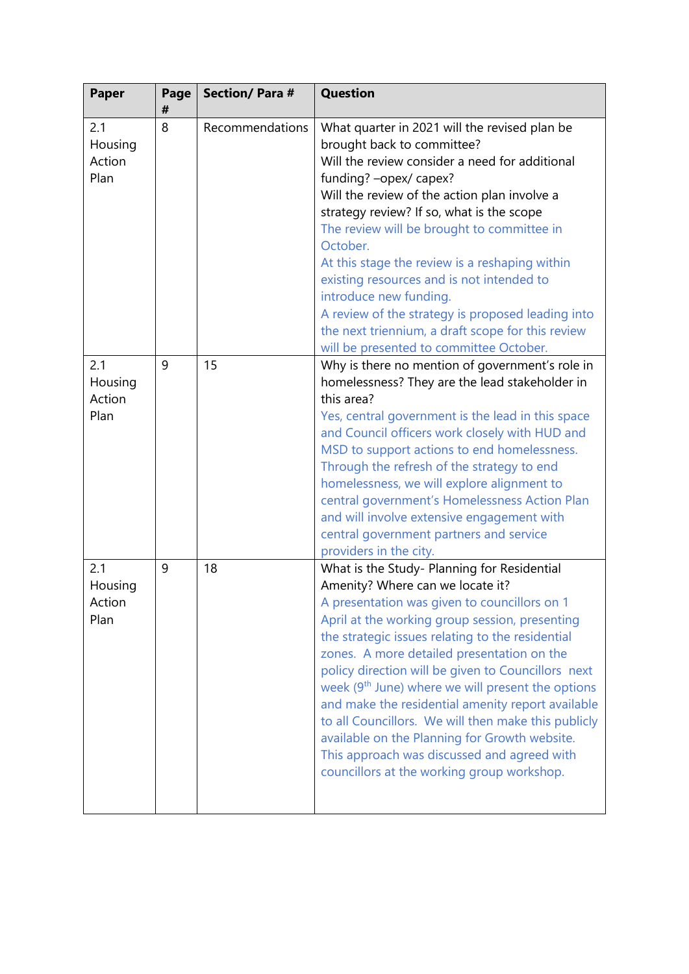| Paper                            | Page<br># | <b>Section/Para#</b> | <b>Question</b>                                                                                                                                                                                                                                                                                                                                                                                                                                                                                                                                                                                                                                                      |
|----------------------------------|-----------|----------------------|----------------------------------------------------------------------------------------------------------------------------------------------------------------------------------------------------------------------------------------------------------------------------------------------------------------------------------------------------------------------------------------------------------------------------------------------------------------------------------------------------------------------------------------------------------------------------------------------------------------------------------------------------------------------|
| 2.1<br>Housing<br>Action<br>Plan | 8         | Recommendations      | What quarter in 2021 will the revised plan be<br>brought back to committee?<br>Will the review consider a need for additional<br>funding? - opex/ capex?<br>Will the review of the action plan involve a<br>strategy review? If so, what is the scope<br>The review will be brought to committee in<br>October.<br>At this stage the review is a reshaping within<br>existing resources and is not intended to<br>introduce new funding.<br>A review of the strategy is proposed leading into<br>the next triennium, a draft scope for this review<br>will be presented to committee October.                                                                        |
| 2.1<br>Housing<br>Action<br>Plan | 9         | 15                   | Why is there no mention of government's role in<br>homelessness? They are the lead stakeholder in<br>this area?<br>Yes, central government is the lead in this space<br>and Council officers work closely with HUD and<br>MSD to support actions to end homelessness.<br>Through the refresh of the strategy to end<br>homelessness, we will explore alignment to<br>central government's Homelessness Action Plan<br>and will involve extensive engagement with<br>central government partners and service<br>providers in the city.                                                                                                                                |
| 2.1<br>Housing<br>Action<br>Plan | 9         | 18                   | What is the Study- Planning for Residential<br>Amenity? Where can we locate it?<br>A presentation was given to councillors on 1<br>April at the working group session, presenting<br>the strategic issues relating to the residential<br>zones. A more detailed presentation on the<br>policy direction will be given to Councillors next<br>week (9 <sup>th</sup> June) where we will present the options<br>and make the residential amenity report available<br>to all Councillors. We will then make this publicly<br>available on the Planning for Growth website.<br>This approach was discussed and agreed with<br>councillors at the working group workshop. |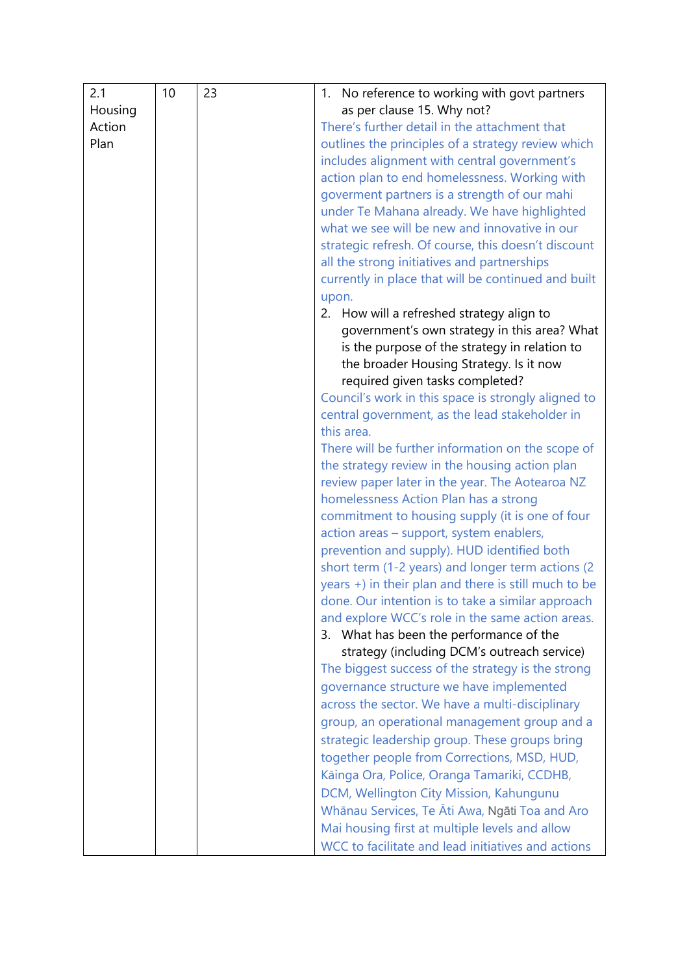| 2.1     | 10 | 23 | 1. No reference to working with govt partners                |
|---------|----|----|--------------------------------------------------------------|
| Housing |    |    | as per clause 15. Why not?                                   |
| Action  |    |    | There's further detail in the attachment that                |
| Plan    |    |    | outlines the principles of a strategy review which           |
|         |    |    | includes alignment with central government's                 |
|         |    |    | action plan to end homelessness. Working with                |
|         |    |    | goverment partners is a strength of our mahi                 |
|         |    |    | under Te Mahana already. We have highlighted                 |
|         |    |    | what we see will be new and innovative in our                |
|         |    |    | strategic refresh. Of course, this doesn't discount          |
|         |    |    | all the strong initiatives and partnerships                  |
|         |    |    | currently in place that will be continued and built          |
|         |    |    | upon.                                                        |
|         |    |    | 2. How will a refreshed strategy align to                    |
|         |    |    | government's own strategy in this area? What                 |
|         |    |    | is the purpose of the strategy in relation to                |
|         |    |    | the broader Housing Strategy. Is it now                      |
|         |    |    | required given tasks completed?                              |
|         |    |    | Council's work in this space is strongly aligned to          |
|         |    |    | central government, as the lead stakeholder in<br>this area. |
|         |    |    | There will be further information on the scope of            |
|         |    |    | the strategy review in the housing action plan               |
|         |    |    | review paper later in the year. The Aotearoa NZ              |
|         |    |    | homelessness Action Plan has a strong                        |
|         |    |    | commitment to housing supply (it is one of four              |
|         |    |    | action areas - support, system enablers,                     |
|         |    |    | prevention and supply). HUD identified both                  |
|         |    |    | short term (1-2 years) and longer term actions (2            |
|         |    |    | years +) in their plan and there is still much to be         |
|         |    |    | done. Our intention is to take a similar approach            |
|         |    |    | and explore WCC's role in the same action areas.             |
|         |    |    | 3. What has been the performance of the                      |
|         |    |    | strategy (including DCM's outreach service)                  |
|         |    |    | The biggest success of the strategy is the strong            |
|         |    |    | governance structure we have implemented                     |
|         |    |    | across the sector. We have a multi-disciplinary              |
|         |    |    | group, an operational management group and a                 |
|         |    |    | strategic leadership group. These groups bring               |
|         |    |    | together people from Corrections, MSD, HUD,                  |
|         |    |    | Kāinga Ora, Police, Oranga Tamariki, CCDHB,                  |
|         |    |    | DCM, Wellington City Mission, Kahungunu                      |
|         |    |    | Whānau Services, Te Āti Awa, Ngāti Toa and Aro               |
|         |    |    | Mai housing first at multiple levels and allow               |
|         |    |    | WCC to facilitate and lead initiatives and actions           |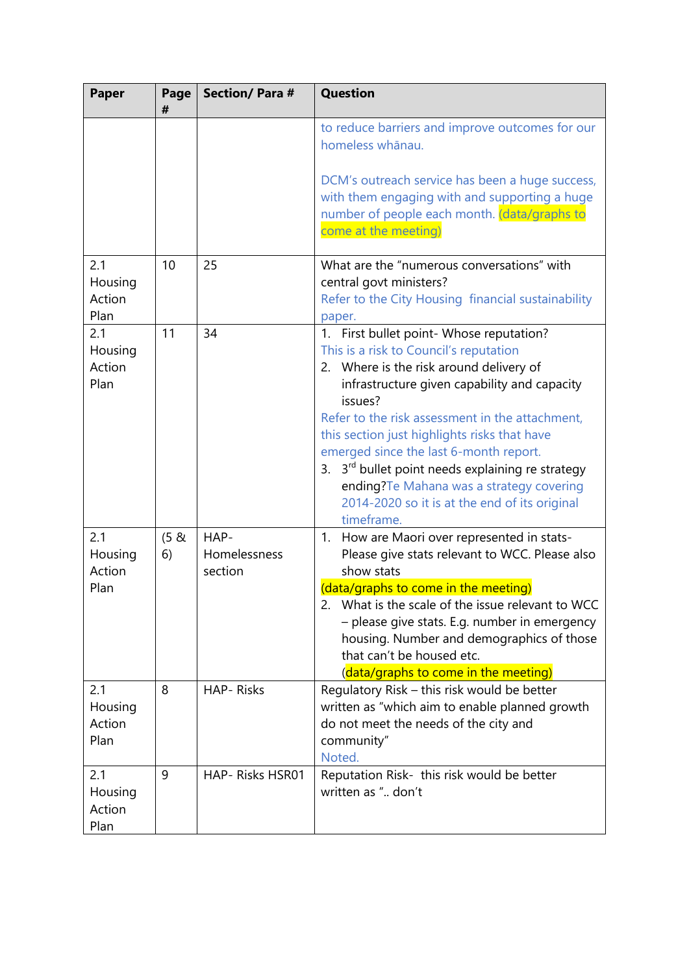| <b>Paper</b>                     | Page<br>#  | <b>Section/Para#</b>            | <b>Question</b>                                                                                                                                                                                                                                                                                                                                                                                                                                                                                                  |  |  |  |
|----------------------------------|------------|---------------------------------|------------------------------------------------------------------------------------------------------------------------------------------------------------------------------------------------------------------------------------------------------------------------------------------------------------------------------------------------------------------------------------------------------------------------------------------------------------------------------------------------------------------|--|--|--|
|                                  |            |                                 | to reduce barriers and improve outcomes for our<br>homeless whānau.<br>DCM's outreach service has been a huge success,<br>with them engaging with and supporting a huge<br>number of people each month. (data/graphs to<br>come at the meeting)                                                                                                                                                                                                                                                                  |  |  |  |
| 2.1<br>Housing<br>Action<br>Plan | 10         | 25                              | What are the "numerous conversations" with<br>central govt ministers?<br>Refer to the City Housing financial sustainability<br>paper.                                                                                                                                                                                                                                                                                                                                                                            |  |  |  |
| 2.1<br>Housing<br>Action<br>Plan | 11         | 34                              | 1. First bullet point- Whose reputation?<br>This is a risk to Council's reputation<br>2. Where is the risk around delivery of<br>infrastructure given capability and capacity<br>issues?<br>Refer to the risk assessment in the attachment,<br>this section just highlights risks that have<br>emerged since the last 6-month report.<br>3. 3 <sup>rd</sup> bullet point needs explaining re strategy<br>ending?Te Mahana was a strategy covering<br>2014-2020 so it is at the end of its original<br>timeframe. |  |  |  |
| 2.1<br>Housing<br>Action<br>Plan | (5 &<br>6) | HAP-<br>Homelessness<br>section | 1. How are Maori over represented in stats-<br>Please give stats relevant to WCC. Please also<br>show stats<br>(data/graphs to come in the meeting)<br>2. What is the scale of the issue relevant to WCC<br>- please give stats. E.g. number in emergency<br>housing. Number and demographics of those<br>that can't be housed etc.<br>(data/graphs to come in the meeting)                                                                                                                                      |  |  |  |
| 2.1<br>Housing<br>Action<br>Plan | 8          | <b>HAP-Risks</b>                | Regulatory Risk - this risk would be better<br>written as "which aim to enable planned growth<br>do not meet the needs of the city and<br>community"<br>Noted.                                                                                                                                                                                                                                                                                                                                                   |  |  |  |
| 2.1<br>Housing<br>Action<br>Plan | 9          | HAP-Risks HSR01                 | Reputation Risk- this risk would be better<br>written as " don't                                                                                                                                                                                                                                                                                                                                                                                                                                                 |  |  |  |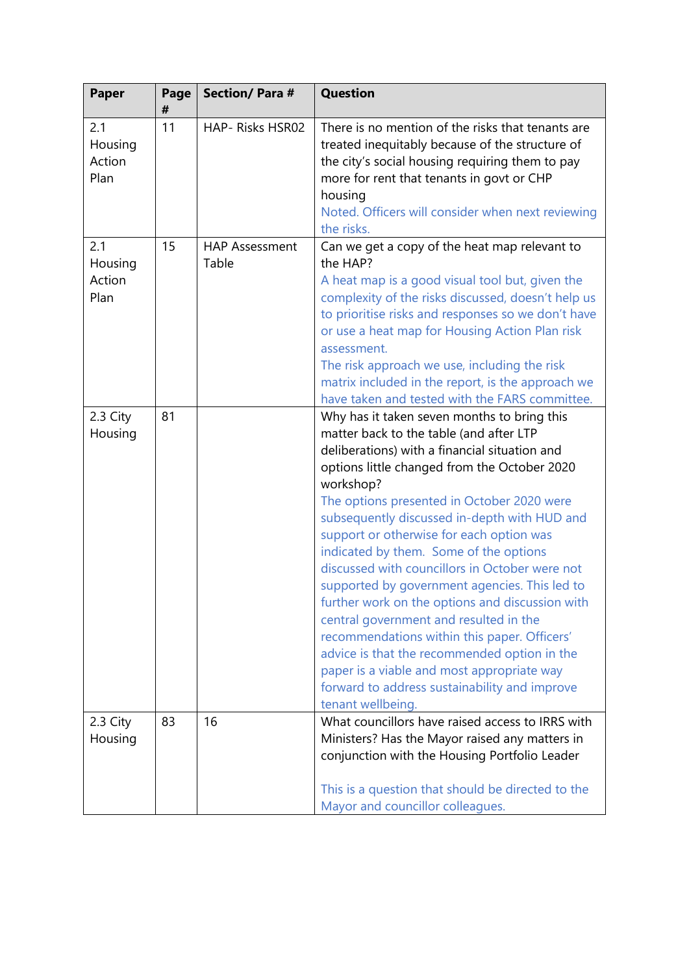| <b>Paper</b>                     | Page<br># | <b>Section/Para#</b>           | <b>Question</b>                                                                                                                                                                                                                                                                                                                                                                                                                                                                                                                                                                                                                                                                                                                                                                                              |
|----------------------------------|-----------|--------------------------------|--------------------------------------------------------------------------------------------------------------------------------------------------------------------------------------------------------------------------------------------------------------------------------------------------------------------------------------------------------------------------------------------------------------------------------------------------------------------------------------------------------------------------------------------------------------------------------------------------------------------------------------------------------------------------------------------------------------------------------------------------------------------------------------------------------------|
| 2.1<br>Housing<br>Action<br>Plan | 11        | HAP- Risks HSR02               | There is no mention of the risks that tenants are<br>treated inequitably because of the structure of<br>the city's social housing requiring them to pay<br>more for rent that tenants in govt or CHP<br>housing<br>Noted. Officers will consider when next reviewing<br>the risks.                                                                                                                                                                                                                                                                                                                                                                                                                                                                                                                           |
| 2.1<br>Housing<br>Action<br>Plan | 15        | <b>HAP Assessment</b><br>Table | Can we get a copy of the heat map relevant to<br>the HAP?<br>A heat map is a good visual tool but, given the<br>complexity of the risks discussed, doesn't help us<br>to prioritise risks and responses so we don't have<br>or use a heat map for Housing Action Plan risk<br>assessment.<br>The risk approach we use, including the risk<br>matrix included in the report, is the approach we<br>have taken and tested with the FARS committee.                                                                                                                                                                                                                                                                                                                                                             |
| 2.3 City<br>Housing              | 81        |                                | Why has it taken seven months to bring this<br>matter back to the table (and after LTP<br>deliberations) with a financial situation and<br>options little changed from the October 2020<br>workshop?<br>The options presented in October 2020 were<br>subsequently discussed in-depth with HUD and<br>support or otherwise for each option was<br>indicated by them. Some of the options<br>discussed with councillors in October were not<br>supported by government agencies. This led to<br>further work on the options and discussion with<br>central government and resulted in the<br>recommendations within this paper. Officers'<br>advice is that the recommended option in the<br>paper is a viable and most appropriate way<br>forward to address sustainability and improve<br>tenant wellbeing. |
| 2.3 City<br>Housing              | 83        | 16                             | What councillors have raised access to IRRS with<br>Ministers? Has the Mayor raised any matters in<br>conjunction with the Housing Portfolio Leader<br>This is a question that should be directed to the<br>Mayor and councillor colleagues.                                                                                                                                                                                                                                                                                                                                                                                                                                                                                                                                                                 |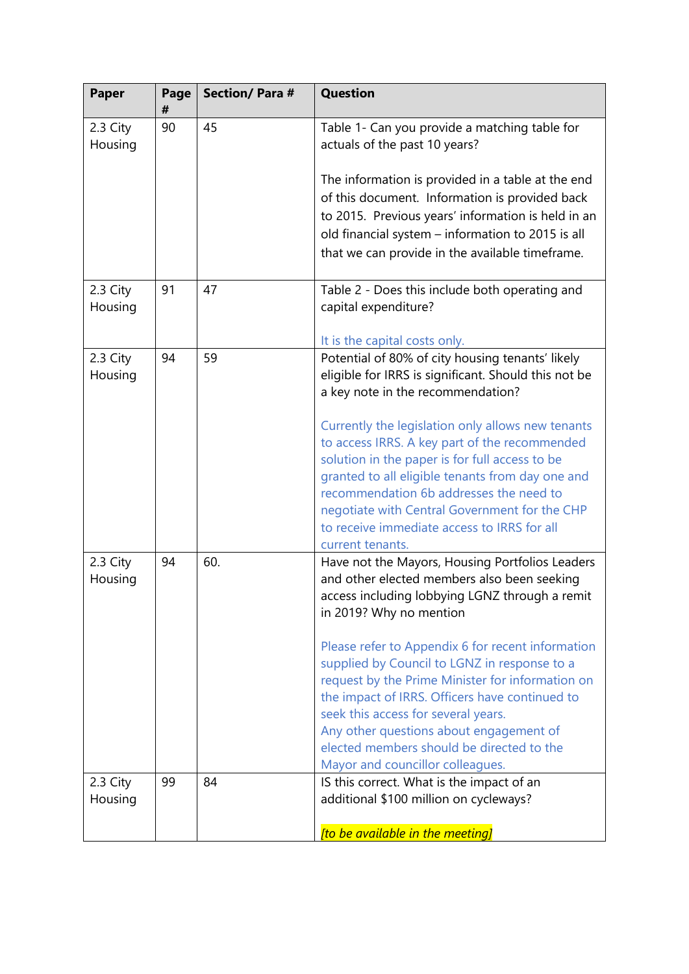| <b>Paper</b>        | Page<br># | <b>Section/Para#</b> | <b>Question</b>                                                                                                                                                                                          |
|---------------------|-----------|----------------------|----------------------------------------------------------------------------------------------------------------------------------------------------------------------------------------------------------|
| 2.3 City<br>Housing | 90        | 45                   | Table 1- Can you provide a matching table for<br>actuals of the past 10 years?                                                                                                                           |
|                     |           |                      | The information is provided in a table at the end<br>of this document. Information is provided back<br>to 2015. Previous years' information is held in an                                                |
|                     |           |                      | old financial system - information to 2015 is all<br>that we can provide in the available timeframe.                                                                                                     |
| 2.3 City<br>Housing | 91        | 47                   | Table 2 - Does this include both operating and<br>capital expenditure?                                                                                                                                   |
| 2.3 City<br>Housing | 94        | 59                   | It is the capital costs only.<br>Potential of 80% of city housing tenants' likely<br>eligible for IRRS is significant. Should this not be<br>a key note in the recommendation?                           |
|                     |           |                      | Currently the legislation only allows new tenants<br>to access IRRS. A key part of the recommended<br>solution in the paper is for full access to be<br>granted to all eligible tenants from day one and |
|                     |           |                      | recommendation 6b addresses the need to<br>negotiate with Central Government for the CHP<br>to receive immediate access to IRRS for all<br>current tenants.                                              |
| 2.3 City<br>Housing | 94        | 60.                  | Have not the Mayors, Housing Portfolios Leaders<br>and other elected members also been seeking<br>access including lobbying LGNZ through a remit<br>in 2019? Why no mention                              |
|                     |           |                      | Please refer to Appendix 6 for recent information<br>supplied by Council to LGNZ in response to a<br>request by the Prime Minister for information on<br>the impact of IRRS. Officers have continued to  |
|                     |           |                      | seek this access for several years.<br>Any other questions about engagement of<br>elected members should be directed to the<br>Mayor and councillor colleagues.                                          |
| 2.3 City<br>Housing | 99        | 84                   | IS this correct. What is the impact of an<br>additional \$100 million on cycleways?                                                                                                                      |
|                     |           |                      | [to be available in the meeting]                                                                                                                                                                         |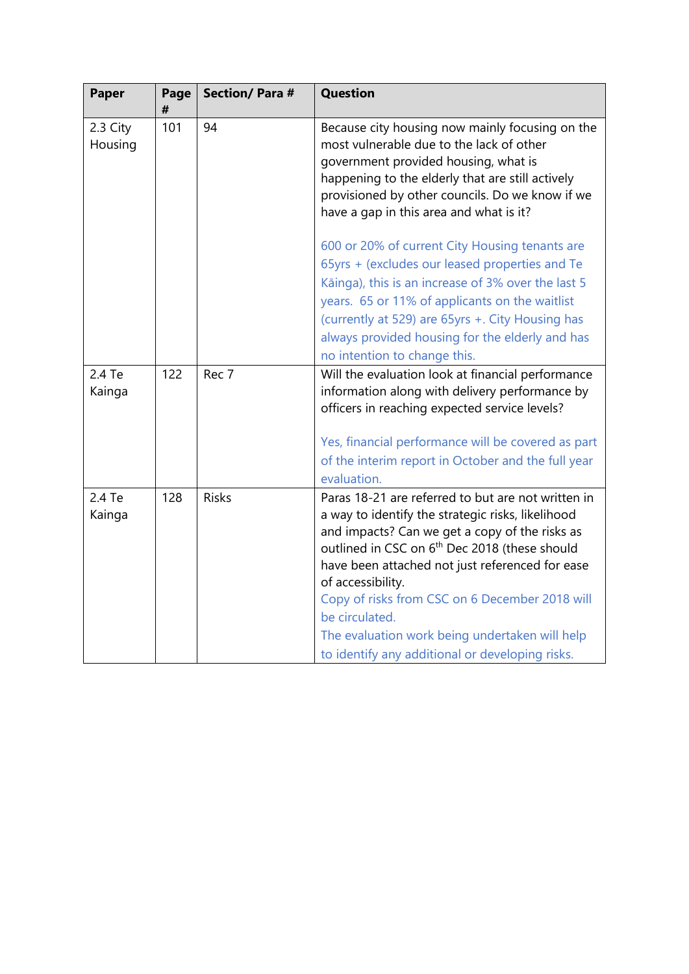| Paper               | Page<br># | <b>Section/Para#</b> | <b>Question</b>                                                                                                                                                                                                                                                                                                                                                                                                                                                         |  |  |  |  |  |
|---------------------|-----------|----------------------|-------------------------------------------------------------------------------------------------------------------------------------------------------------------------------------------------------------------------------------------------------------------------------------------------------------------------------------------------------------------------------------------------------------------------------------------------------------------------|--|--|--|--|--|
| 2.3 City<br>Housing | 101       | 94                   | Because city housing now mainly focusing on the<br>most vulnerable due to the lack of other<br>government provided housing, what is<br>happening to the elderly that are still actively<br>provisioned by other councils. Do we know if we<br>have a gap in this area and what is it?                                                                                                                                                                                   |  |  |  |  |  |
|                     |           |                      | 600 or 20% of current City Housing tenants are<br>65yrs + (excludes our leased properties and Te<br>Kāinga), this is an increase of 3% over the last 5<br>years. 65 or 11% of applicants on the waitlist<br>(currently at 529) are 65yrs +. City Housing has<br>always provided housing for the elderly and has<br>no intention to change this.                                                                                                                         |  |  |  |  |  |
| 2.4 Te<br>Kainga    | 122       | Rec 7                | Will the evaluation look at financial performance<br>information along with delivery performance by<br>officers in reaching expected service levels?<br>Yes, financial performance will be covered as part<br>of the interim report in October and the full year<br>evaluation.                                                                                                                                                                                         |  |  |  |  |  |
| 2.4 Te<br>Kainga    | 128       | <b>Risks</b>         | Paras 18-21 are referred to but are not written in<br>a way to identify the strategic risks, likelihood<br>and impacts? Can we get a copy of the risks as<br>outlined in CSC on 6 <sup>th</sup> Dec 2018 (these should<br>have been attached not just referenced for ease<br>of accessibility.<br>Copy of risks from CSC on 6 December 2018 will<br>be circulated.<br>The evaluation work being undertaken will help<br>to identify any additional or developing risks. |  |  |  |  |  |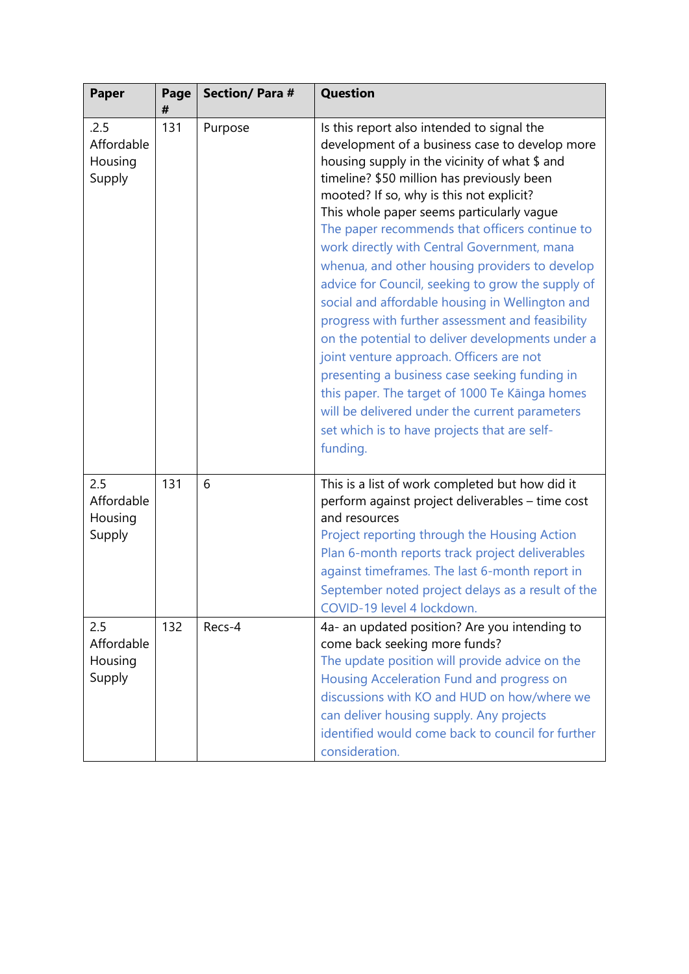| <b>Paper</b>                            | Page<br># | <b>Section/Para#</b> | <b>Question</b>                                                                                                                                                                                                                                                                                                                                                                                                                                                                                                                                                                                                                                                                                                                                                                                                                                                                                                      |
|-----------------------------------------|-----------|----------------------|----------------------------------------------------------------------------------------------------------------------------------------------------------------------------------------------------------------------------------------------------------------------------------------------------------------------------------------------------------------------------------------------------------------------------------------------------------------------------------------------------------------------------------------------------------------------------------------------------------------------------------------------------------------------------------------------------------------------------------------------------------------------------------------------------------------------------------------------------------------------------------------------------------------------|
| .2.5<br>Affordable<br>Housing<br>Supply | 131       | Purpose              | Is this report also intended to signal the<br>development of a business case to develop more<br>housing supply in the vicinity of what \$ and<br>timeline? \$50 million has previously been<br>mooted? If so, why is this not explicit?<br>This whole paper seems particularly vague<br>The paper recommends that officers continue to<br>work directly with Central Government, mana<br>whenua, and other housing providers to develop<br>advice for Council, seeking to grow the supply of<br>social and affordable housing in Wellington and<br>progress with further assessment and feasibility<br>on the potential to deliver developments under a<br>joint venture approach. Officers are not<br>presenting a business case seeking funding in<br>this paper. The target of 1000 Te Kāinga homes<br>will be delivered under the current parameters<br>set which is to have projects that are self-<br>funding. |
| 2.5<br>Affordable<br>Housing<br>Supply  | 131       | 6                    | This is a list of work completed but how did it<br>perform against project deliverables - time cost<br>and resources<br>Project reporting through the Housing Action<br>Plan 6-month reports track project deliverables<br>against timeframes. The last 6-month report in<br>September noted project delays as a result of the<br>COVID-19 level 4 lockdown.                                                                                                                                                                                                                                                                                                                                                                                                                                                                                                                                                         |
| 2.5<br>Affordable<br>Housing<br>Supply  | 132       | Recs-4               | 4a- an updated position? Are you intending to<br>come back seeking more funds?<br>The update position will provide advice on the<br>Housing Acceleration Fund and progress on<br>discussions with KO and HUD on how/where we<br>can deliver housing supply. Any projects<br>identified would come back to council for further<br>consideration.                                                                                                                                                                                                                                                                                                                                                                                                                                                                                                                                                                      |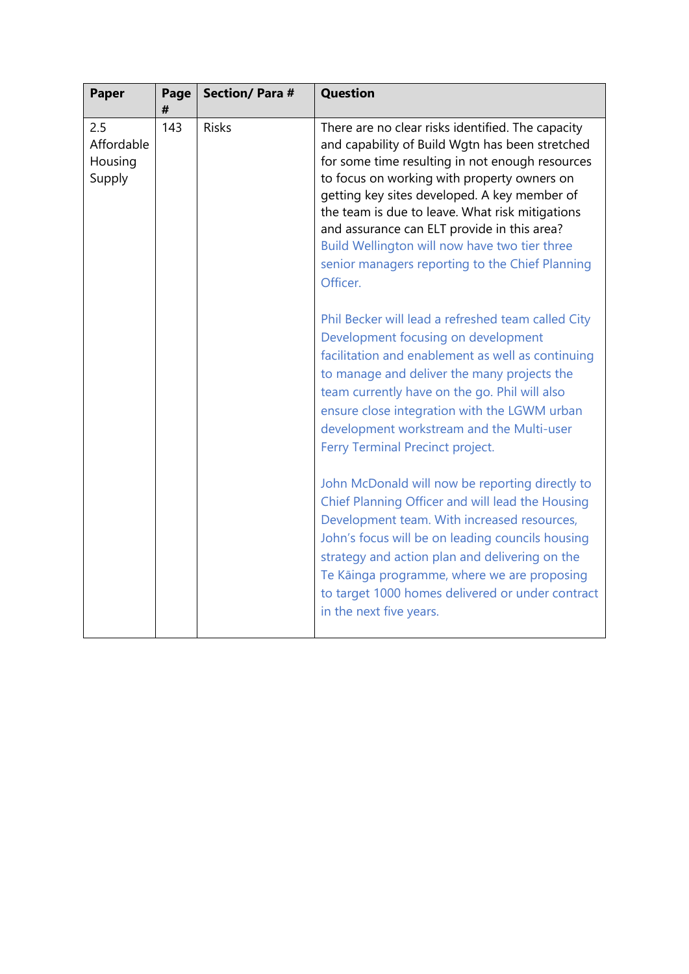| <b>Paper</b>                           | Page<br># | <b>Section/Para#</b> | <b>Question</b>                                                                                                                                                                                                                                                                                                                                                                                                                                                          |
|----------------------------------------|-----------|----------------------|--------------------------------------------------------------------------------------------------------------------------------------------------------------------------------------------------------------------------------------------------------------------------------------------------------------------------------------------------------------------------------------------------------------------------------------------------------------------------|
| 2.5<br>Affordable<br>Housing<br>Supply | 143       | <b>Risks</b>         | There are no clear risks identified. The capacity<br>and capability of Build Wgtn has been stretched<br>for some time resulting in not enough resources<br>to focus on working with property owners on<br>getting key sites developed. A key member of<br>the team is due to leave. What risk mitigations<br>and assurance can ELT provide in this area?<br>Build Wellington will now have two tier three<br>senior managers reporting to the Chief Planning<br>Officer. |
|                                        |           |                      | Phil Becker will lead a refreshed team called City<br>Development focusing on development<br>facilitation and enablement as well as continuing<br>to manage and deliver the many projects the<br>team currently have on the go. Phil will also<br>ensure close integration with the LGWM urban<br>development workstream and the Multi-user<br>Ferry Terminal Precinct project.                                                                                          |
|                                        |           |                      | John McDonald will now be reporting directly to<br>Chief Planning Officer and will lead the Housing<br>Development team. With increased resources,<br>John's focus will be on leading councils housing<br>strategy and action plan and delivering on the<br>Te Kāinga programme, where we are proposing<br>to target 1000 homes delivered or under contract<br>in the next five years.                                                                                   |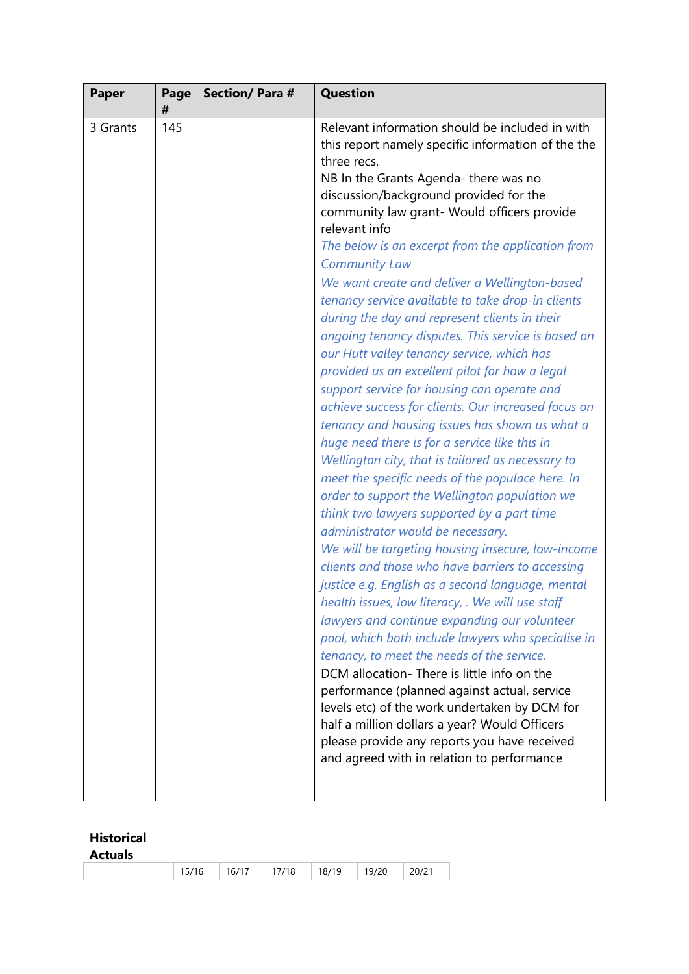| <b>Paper</b> | Page<br># | <b>Section/Para#</b> | <b>Question</b>                                                                                                                                                                                                                                                                                                                                                                                                                                                                                                                                                                                                                                                                                                                                                                                                                                                                                                                                                                                                                                                                                                                                                                                                                                                                                                                                                                                                                                                                                                                                                                                                                                                                                                                                                                             |  |  |  |  |
|--------------|-----------|----------------------|---------------------------------------------------------------------------------------------------------------------------------------------------------------------------------------------------------------------------------------------------------------------------------------------------------------------------------------------------------------------------------------------------------------------------------------------------------------------------------------------------------------------------------------------------------------------------------------------------------------------------------------------------------------------------------------------------------------------------------------------------------------------------------------------------------------------------------------------------------------------------------------------------------------------------------------------------------------------------------------------------------------------------------------------------------------------------------------------------------------------------------------------------------------------------------------------------------------------------------------------------------------------------------------------------------------------------------------------------------------------------------------------------------------------------------------------------------------------------------------------------------------------------------------------------------------------------------------------------------------------------------------------------------------------------------------------------------------------------------------------------------------------------------------------|--|--|--|--|
| 3 Grants     | 145       |                      | Relevant information should be included in with<br>this report namely specific information of the the<br>three recs.<br>NB In the Grants Agenda- there was no<br>discussion/background provided for the<br>community law grant- Would officers provide<br>relevant info<br>The below is an excerpt from the application from<br><b>Community Law</b><br>We want create and deliver a Wellington-based<br>tenancy service available to take drop-in clients<br>during the day and represent clients in their<br>ongoing tenancy disputes. This service is based on<br>our Hutt valley tenancy service, which has<br>provided us an excellent pilot for how a legal<br>support service for housing can operate and<br>achieve success for clients. Our increased focus on<br>tenancy and housing issues has shown us what a<br>huge need there is for a service like this in<br>Wellington city, that is tailored as necessary to<br>meet the specific needs of the populace here. In<br>order to support the Wellington population we<br>think two lawyers supported by a part time<br>administrator would be necessary.<br>We will be targeting housing insecure, low-income<br>clients and those who have barriers to accessing<br>justice e.g. English as a second language, mental<br>health issues, low literacy, . We will use staff<br>lawyers and continue expanding our volunteer<br>pool, which both include lawyers who specialise in<br>tenancy, to meet the needs of the service.<br>DCM allocation-There is little info on the<br>performance (planned against actual, service<br>levels etc) of the work undertaken by DCM for<br>half a million dollars a year? Would Officers<br>please provide any reports you have received<br>and agreed with in relation to performance |  |  |  |  |

#### **Historical**

| 15/16 | ,   16/17   17/18 |  | $18/19$ 19/20 |  | 20/21 |
|-------|-------------------|--|---------------|--|-------|
|-------|-------------------|--|---------------|--|-------|